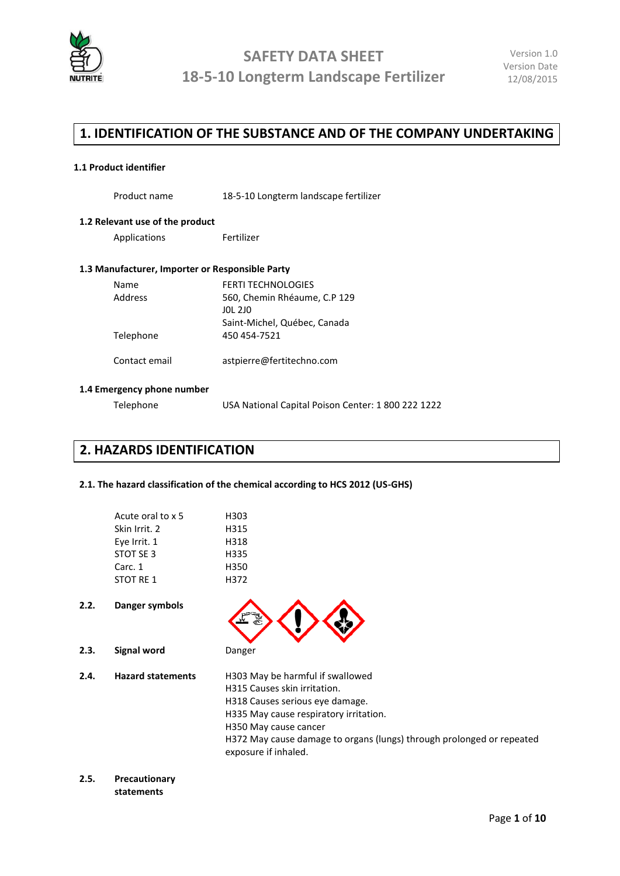

## **1. IDENTIFICATION OF THE SUBSTANCE AND OF THE COMPANY UNDERTAKING**

### **1.1 Product identifier**

| Product name                                    | 18-5-10 Longterm landscape fertilizer |
|-------------------------------------------------|---------------------------------------|
| 1.2 Relevant use of the product                 |                                       |
| Applications                                    | Fertilizer                            |
| 1.3 Manufacturer, Importer or Responsible Party |                                       |
| Name                                            | <b>FERTI TECHNOLOGIES</b>             |
| Address                                         | 560, Chemin Rhéaume, C.P 129          |
|                                                 | JOL 2JO                               |
|                                                 | Saint-Michel, Québec, Canada          |
| Telephone                                       | 450 454-7521                          |
| Contact email                                   | astpierre@fertitechno.com             |
| 1.4 Emergency phone number                      |                                       |

### **1.4 Emergency phone number**

Telephone USA National Capital Poison Center: 1 800 222 1222

## **2. HAZARDS IDENTIFICATION**

### **2.1. The hazard classification of the chemical according to HCS 2012 (US-GHS)**

|      | Acute oral to x 5        | H303                                                                                          |
|------|--------------------------|-----------------------------------------------------------------------------------------------|
|      | Skin Irrit. 2            | H315                                                                                          |
|      | Eye Irrit. 1             | H318                                                                                          |
|      | STOT SE 3                | H335                                                                                          |
|      | Carc. 1                  | H350                                                                                          |
|      | <b>STOT RE1</b>          | H372                                                                                          |
| 2.2. | Danger symbols           |                                                                                               |
| 2.3. | <b>Signal word</b>       | Danger                                                                                        |
| 2.4. | <b>Hazard statements</b> | H303 May be harmful if swallowed                                                              |
|      |                          | H315 Causes skin irritation.                                                                  |
|      |                          | H318 Causes serious eye damage.                                                               |
|      |                          | H335 May cause respiratory irritation.                                                        |
|      |                          | H350 May cause cancer                                                                         |
|      |                          | H372 May cause damage to organs (lungs) through prolonged or repeated<br>exposure if inhaled. |
| ת כ  | <b>Drocoutionary</b>     |                                                                                               |

#### **2.5. Precautionary statements**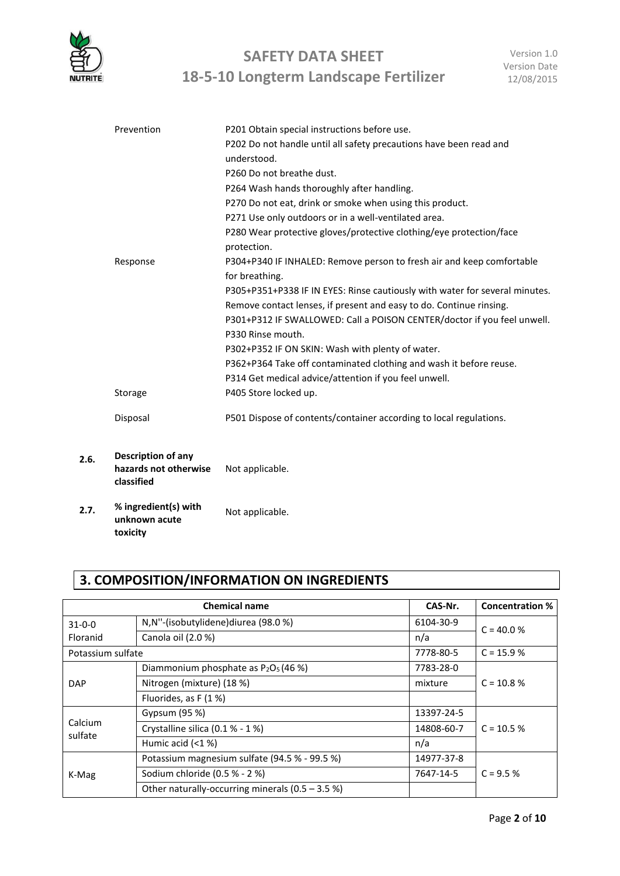

 $2.6.$ 

# **SAFETY DATA SHEET 18-5-10 Longterm Landscape Fertilizer**

| Prevention                | P201 Obtain special instructions before use.                                |
|---------------------------|-----------------------------------------------------------------------------|
|                           | P202 Do not handle until all safety precautions have been read and          |
|                           | understood.                                                                 |
|                           | P260 Do not breathe dust.                                                   |
|                           | P264 Wash hands thoroughly after handling.                                  |
|                           | P270 Do not eat, drink or smoke when using this product.                    |
|                           | P271 Use only outdoors or in a well-ventilated area.                        |
|                           | P280 Wear protective gloves/protective clothing/eye protection/face         |
|                           | protection.                                                                 |
| Response                  | P304+P340 IF INHALED: Remove person to fresh air and keep comfortable       |
|                           | for breathing.                                                              |
|                           | P305+P351+P338 IF IN EYES: Rinse cautiously with water for several minutes. |
|                           | Remove contact lenses, if present and easy to do. Continue rinsing.         |
|                           | P301+P312 IF SWALLOWED: Call a POISON CENTER/doctor if you feel unwell.     |
|                           | P330 Rinse mouth.                                                           |
|                           | P302+P352 IF ON SKIN: Wash with plenty of water.                            |
|                           | P362+P364 Take off contaminated clothing and wash it before reuse.          |
|                           | P314 Get medical advice/attention if you feel unwell.                       |
| Storage                   | P405 Store locked up.                                                       |
|                           |                                                                             |
| Disposal                  | P501 Dispose of contents/container according to local regulations.          |
|                           |                                                                             |
| <b>Description of any</b> |                                                                             |
| hazards not otherwise     | Not applicable.                                                             |
| classified                |                                                                             |

**2.7. % ingredient(s) with unknown acute toxicity** Not applicable.

## **3. COMPOSITION/INFORMATION ON INGREDIENTS**

|                    | <b>Chemical name</b>                                | CAS-Nr.    | <b>Concentration %</b> |
|--------------------|-----------------------------------------------------|------------|------------------------|
| $31 - 0 - 0$       | N,N"-(isobutylidene)diurea (98.0 %)                 | 6104-30-9  | $C = 40.0 %$           |
| Floranid           | Canola oil (2.0 %)                                  | n/a        |                        |
| Potassium sulfate  |                                                     | 7778-80-5  | $C = 15.9 %$           |
|                    | Diammonium phosphate as $P_2O_5$ (46 %)             | 7783-28-0  | $C = 10.8 %$           |
| <b>DAP</b>         | Nitrogen (mixture) (18 %)                           | mixture    |                        |
|                    | Fluorides, as F (1 %)                               |            |                        |
|                    | Gypsum (95 %)                                       | 13397-24-5 |                        |
| Calcium<br>sulfate | Crystalline silica (0.1 % - 1 %)                    | 14808-60-7 | $C = 10.5 %$           |
|                    | Humic acid $($ $1\%$ )                              | n/a        |                        |
|                    | Potassium magnesium sulfate (94.5 % - 99.5 %)       | 14977-37-8 |                        |
| K-Mag              | Sodium chloride (0.5 % - 2 %)                       | 7647-14-5  | $C = 9.5 %$            |
|                    | Other naturally-occurring minerals $(0.5 - 3.5 \%)$ |            |                        |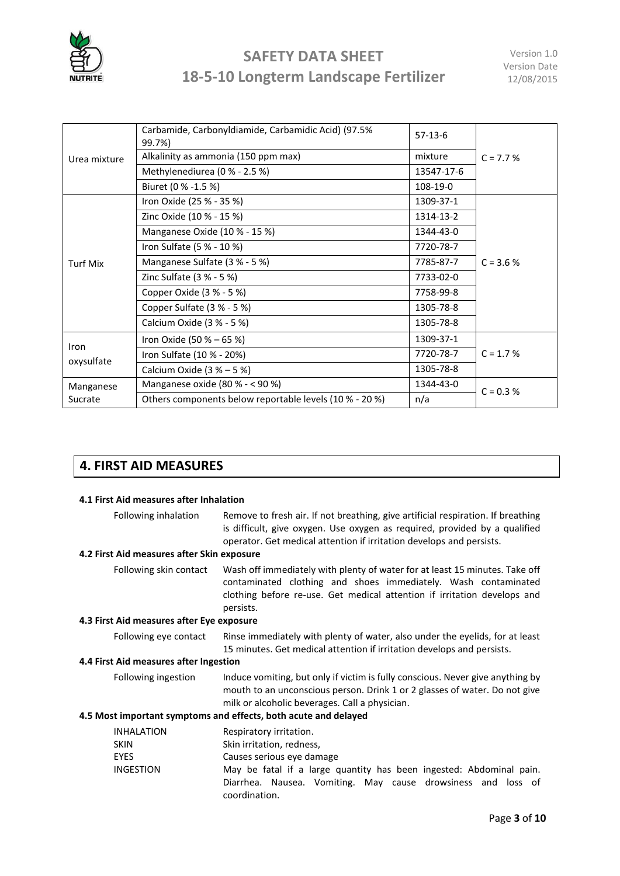

| Urea mixture    | Carbamide, Carbonyldiamide, Carbamidic Acid) (97.5%<br>99.7%) | $57-13-6$  |             |  |
|-----------------|---------------------------------------------------------------|------------|-------------|--|
|                 | Alkalinity as ammonia (150 ppm max)                           | mixture    | $C = 7.7 %$ |  |
|                 | Methylenediurea (0 % - 2.5 %)                                 | 13547-17-6 |             |  |
|                 | Biuret (0 % -1.5 %)                                           | 108-19-0   |             |  |
|                 | Iron Oxide (25 % - 35 %)                                      | 1309-37-1  |             |  |
|                 | Zinc Oxide (10 % - 15 %)                                      | 1314-13-2  |             |  |
|                 | Manganese Oxide (10 % - 15 %)                                 | 1344-43-0  |             |  |
|                 | Iron Sulfate (5 % - 10 %)                                     | 7720-78-7  |             |  |
| <b>Turf Mix</b> | Manganese Sulfate (3 % - 5 %)                                 | 7785-87-7  | $C = 3.6 %$ |  |
|                 | Zinc Sulfate (3 % - 5 %)                                      | 7733-02-0  |             |  |
|                 | Copper Oxide (3 % - 5 %)                                      | 7758-99-8  |             |  |
|                 | Copper Sulfate (3 % - 5 %)                                    | 1305-78-8  |             |  |
|                 | Calcium Oxide (3 % - 5 %)                                     | 1305-78-8  |             |  |
|                 | Iron Oxide (50 % - 65 %)                                      | 1309-37-1  |             |  |
| Iron            | Iron Sulfate (10 % - 20%)                                     | 7720-78-7  | $C = 1.7 %$ |  |
| oxysulfate      | Calcium Oxide $(3 % - 5 % )$                                  | 1305-78-8  |             |  |
| Manganese       | Manganese oxide (80 % - < 90 %)                               | 1344-43-0  | $C = 0.3 %$ |  |
| Sucrate         | Others components below reportable levels (10 % - 20 %)       | n/a        |             |  |

## **4. FIRST AID MEASURES**

| 4.1 First Aid measures after Inhalation                         |                                                                                                                                                                                                                                        |  |  |
|-----------------------------------------------------------------|----------------------------------------------------------------------------------------------------------------------------------------------------------------------------------------------------------------------------------------|--|--|
| Following inhalation                                            | Remove to fresh air. If not breathing, give artificial respiration. If breathing<br>is difficult, give oxygen. Use oxygen as required, provided by a qualified<br>operator. Get medical attention if irritation develops and persists. |  |  |
| 4.2 First Aid measures after Skin exposure                      |                                                                                                                                                                                                                                        |  |  |
| Following skin contact                                          | Wash off immediately with plenty of water for at least 15 minutes. Take off<br>contaminated clothing and shoes immediately. Wash contaminated<br>clothing before re-use. Get medical attention if irritation develops and<br>persists. |  |  |
| 4.3 First Aid measures after Eye exposure                       |                                                                                                                                                                                                                                        |  |  |
| Following eye contact                                           | Rinse immediately with plenty of water, also under the eyelids, for at least<br>15 minutes. Get medical attention if irritation develops and persists.                                                                                 |  |  |
| 4.4 First Aid measures after Ingestion                          |                                                                                                                                                                                                                                        |  |  |
| Following ingestion                                             | Induce vomiting, but only if victim is fully conscious. Never give anything by<br>mouth to an unconscious person. Drink 1 or 2 glasses of water. Do not give<br>milk or alcoholic beverages. Call a physician.                         |  |  |
| 4.5 Most important symptoms and effects, both acute and delayed |                                                                                                                                                                                                                                        |  |  |
| <b>INHALATION</b>                                               | Respiratory irritation.                                                                                                                                                                                                                |  |  |
| <b>SKIN</b>                                                     | Skin irritation, redness,                                                                                                                                                                                                              |  |  |
| EYES                                                            | Causes serious eye damage                                                                                                                                                                                                              |  |  |
| <b>INGESTION</b>                                                | May be fatal if a large quantity has been ingested: Abdominal pain.<br>Diarrhea. Nausea. Vomiting. May cause drowsiness and loss of<br>coordination.                                                                                   |  |  |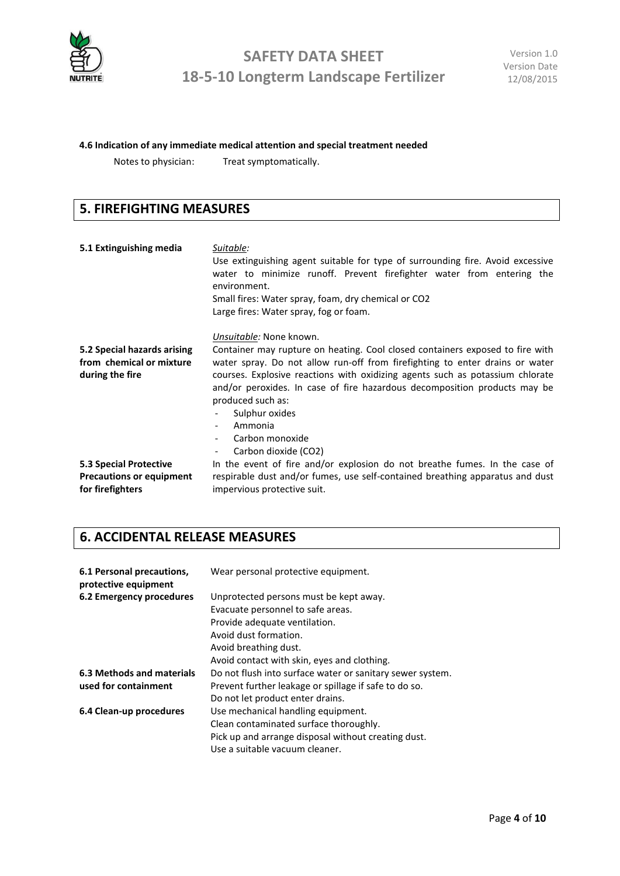

### **4.6 Indication of any immediate medical attention and special treatment needed**

Notes to physician: Treat symptomatically.

### **5. FIREFIGHTING MEASURES**

| 5.1 Extinguishing media                                                                              | Suitable:<br>Use extinguishing agent suitable for type of surrounding fire. Avoid excessive<br>water to minimize runoff. Prevent firefighter water from entering the<br>environment.<br>Small fires: Water spray, foam, dry chemical or CO2<br>Large fires: Water spray, fog or foam.                                                                                                                                                                                                                                                                                                     |
|------------------------------------------------------------------------------------------------------|-------------------------------------------------------------------------------------------------------------------------------------------------------------------------------------------------------------------------------------------------------------------------------------------------------------------------------------------------------------------------------------------------------------------------------------------------------------------------------------------------------------------------------------------------------------------------------------------|
| 5.2 Special hazards arising<br>from chemical or mixture<br>during the fire<br>5.3 Special Protective | Unsuitable: None known.<br>Container may rupture on heating. Cool closed containers exposed to fire with<br>water spray. Do not allow run-off from firefighting to enter drains or water<br>courses. Explosive reactions with oxidizing agents such as potassium chlorate<br>and/or peroxides. In case of fire hazardous decomposition products may be<br>produced such as:<br>Sulphur oxides<br>Ammonia<br>$\overline{\phantom{0}}$<br>Carbon monoxide<br>$\overline{\phantom{a}}$<br>Carbon dioxide (CO2)<br>In the event of fire and/or explosion do not breathe fumes. In the case of |
| <b>Precautions or equipment</b><br>for firefighters                                                  | respirable dust and/or fumes, use self-contained breathing apparatus and dust<br>impervious protective suit.                                                                                                                                                                                                                                                                                                                                                                                                                                                                              |

## **6. ACCIDENTAL RELEASE MEASURES**

| 6.1 Personal precautions,<br>protective equipment | Wear personal protective equipment.                       |
|---------------------------------------------------|-----------------------------------------------------------|
| 6.2 Emergency procedures                          | Unprotected persons must be kept away.                    |
|                                                   | Evacuate personnel to safe areas.                         |
|                                                   | Provide adequate ventilation.                             |
|                                                   | Avoid dust formation.                                     |
|                                                   | Avoid breathing dust.                                     |
|                                                   | Avoid contact with skin, eyes and clothing.               |
| 6.3 Methods and materials                         | Do not flush into surface water or sanitary sewer system. |
| used for containment                              | Prevent further leakage or spillage if safe to do so.     |
|                                                   | Do not let product enter drains.                          |
| 6.4 Clean-up procedures                           | Use mechanical handling equipment.                        |
|                                                   | Clean contaminated surface thoroughly.                    |
|                                                   | Pick up and arrange disposal without creating dust.       |
|                                                   | Use a suitable vacuum cleaner.                            |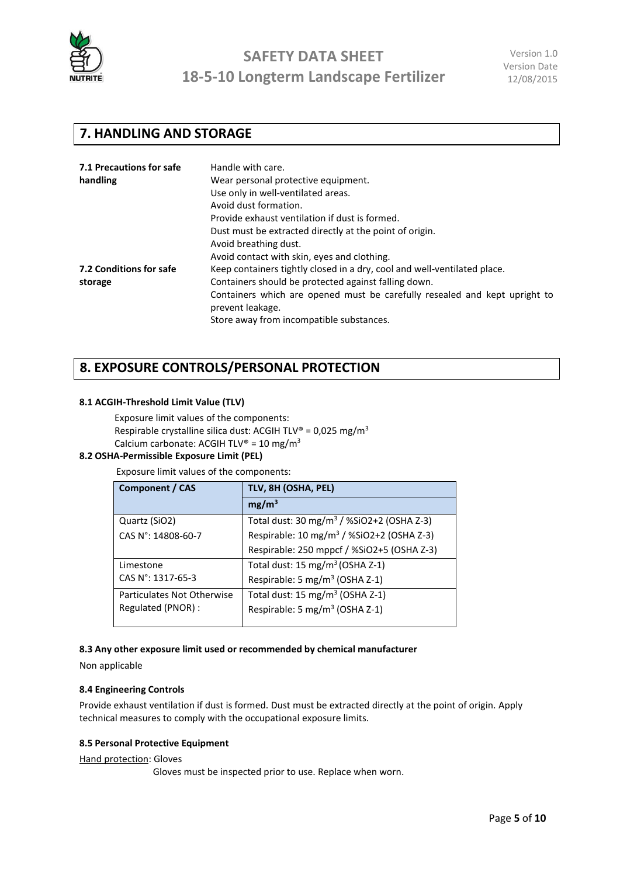

### **7. HANDLING AND STORAGE**

| 7.1 Precautions for safe | Handle with care.                                                          |  |
|--------------------------|----------------------------------------------------------------------------|--|
| handling                 | Wear personal protective equipment.                                        |  |
|                          | Use only in well-ventilated areas.                                         |  |
|                          | Avoid dust formation.                                                      |  |
|                          | Provide exhaust ventilation if dust is formed.                             |  |
|                          | Dust must be extracted directly at the point of origin.                    |  |
|                          | Avoid breathing dust.                                                      |  |
|                          | Avoid contact with skin, eyes and clothing.                                |  |
| 7.2 Conditions for safe  | Keep containers tightly closed in a dry, cool and well-ventilated place.   |  |
| storage                  | Containers should be protected against falling down.                       |  |
|                          | Containers which are opened must be carefully resealed and kept upright to |  |
|                          | prevent leakage.                                                           |  |
|                          | Store away from incompatible substances.                                   |  |

### **8. EXPOSURE CONTROLS/PERSONAL PROTECTION**

### **8.1 ACGIH-Threshold Limit Value (TLV)**

Exposure limit values of the components: Respirable crystalline silica dust: ACGIH TLV® = 0,025 mg/m<sup>3</sup> Calcium carbonate: ACGIH TLV® = 10 mg/m<sup>3</sup>

### **8.2 OSHA-Permissible Exposure Limit (PEL)**

Exposure limit values of the components:

| <b>Component / CAS</b>     | TLV, 8H (OSHA, PEL)                                   |  |
|----------------------------|-------------------------------------------------------|--|
|                            | mg/m <sup>3</sup>                                     |  |
| Quartz (SiO2)              | Total dust: 30 mg/m <sup>3</sup> / %SiO2+2 (OSHA Z-3) |  |
| CAS N°: 14808-60-7         | Respirable: 10 mg/m <sup>3</sup> / %SiO2+2 (OSHA Z-3) |  |
|                            | Respirable: 250 mppcf / %SiO2+5 (OSHA Z-3)            |  |
| Limestone                  | Total dust: 15 mg/m <sup>3</sup> (OSHA Z-1)           |  |
| CAS N°: 1317-65-3          | Respirable: 5 mg/m <sup>3</sup> (OSHA Z-1)            |  |
| Particulates Not Otherwise | Total dust: 15 mg/m <sup>3</sup> (OSHA Z-1)           |  |
| Regulated (PNOR) :         | Respirable: 5 mg/m <sup>3</sup> (OSHA Z-1)            |  |

### **8.3 Any other exposure limit used or recommended by chemical manufacturer**

Non applicable

### **8.4 Engineering Controls**

Provide exhaust ventilation if dust is formed. Dust must be extracted directly at the point of origin. Apply technical measures to comply with the occupational exposure limits.

### **8.5 Personal Protective Equipment**

Hand protection: Gloves

Gloves must be inspected prior to use. Replace when worn.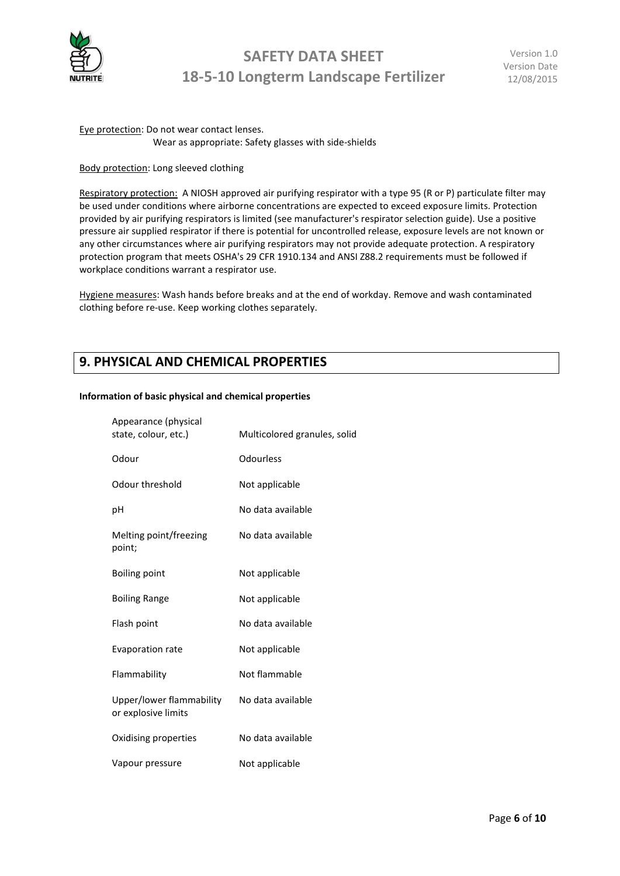

Eye protection: Do not wear contact lenses. Wear as appropriate: Safety glasses with side-shields

### Body protection: Long sleeved clothing

Respiratory protection: A NIOSH approved air purifying respirator with a type 95 (R or P) particulate filter may be used under conditions where airborne concentrations are expected to exceed exposure limits. Protection provided by air purifying respirators is limited (see manufacturer's respirator selection guide). Use a positive pressure air supplied respirator if there is potential for uncontrolled release, exposure levels are not known or any other circumstances where air purifying respirators may not provide adequate protection. A respiratory protection program that meets OSHA's 29 CFR 1910.134 and ANSI Z88.2 requirements must be followed if workplace conditions warrant a respirator use.

Hygiene measures: Wash hands before breaks and at the end of workday. Remove and wash contaminated clothing before re-use. Keep working clothes separately.

### **9. PHYSICAL AND CHEMICAL PROPERTIES**

### **Information of basic physical and chemical properties**

| Appearance (physical<br>state, colour, etc.)    | Multicolored granules, solid |
|-------------------------------------------------|------------------------------|
| Odour                                           | <b>Odourless</b>             |
| Odour threshold                                 | Not applicable               |
| рH                                              | No data available            |
| Melting point/freezing<br>point;                | No data available            |
| Boiling point                                   | Not applicable               |
| <b>Boiling Range</b>                            | Not applicable               |
| Flash point                                     | No data available            |
| Evaporation rate                                | Not applicable               |
| Flammability                                    | Not flammable                |
| Upper/lower flammability<br>or explosive limits | No data available            |
| Oxidising properties                            | No data available            |
| Vapour pressure                                 | Not applicable               |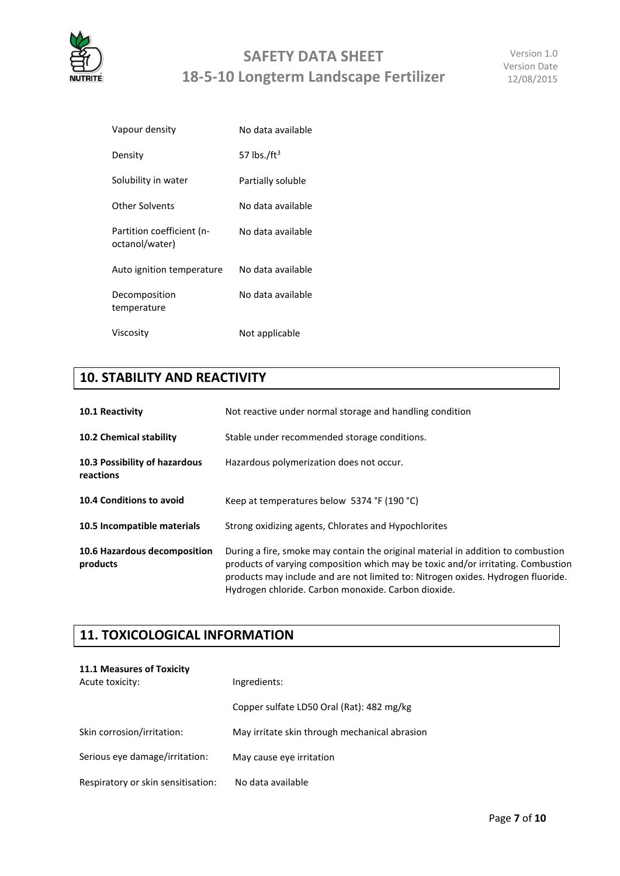

| Vapour density                              | No data available |
|---------------------------------------------|-------------------|
| Density                                     | 57 lbs./ $ft^3$   |
| Solubility in water                         | Partially soluble |
| <b>Other Solvents</b>                       | No data available |
| Partition coefficient (n-<br>octanol/water) | No data available |
| Auto ignition temperature                   | No data available |
| Decomposition<br>temperature                | No data available |
| Viscosity                                   | Not applicable    |

## **10. STABILITY AND REACTIVITY**

| <b>10.1 Reactivity</b>                     | Not reactive under normal storage and handling condition                                                                                                                                                                                                                                                        |
|--------------------------------------------|-----------------------------------------------------------------------------------------------------------------------------------------------------------------------------------------------------------------------------------------------------------------------------------------------------------------|
| 10.2 Chemical stability                    | Stable under recommended storage conditions.                                                                                                                                                                                                                                                                    |
| 10.3 Possibility of hazardous<br>reactions | Hazardous polymerization does not occur.                                                                                                                                                                                                                                                                        |
| 10.4 Conditions to avoid                   | Keep at temperatures below 5374 °F (190 °C)                                                                                                                                                                                                                                                                     |
| 10.5 Incompatible materials                | Strong oxidizing agents, Chlorates and Hypochlorites                                                                                                                                                                                                                                                            |
| 10.6 Hazardous decomposition<br>products   | During a fire, smoke may contain the original material in addition to combustion<br>products of varying composition which may be toxic and/or irritating. Combustion<br>products may include and are not limited to: Nitrogen oxides. Hydrogen fluoride.<br>Hydrogen chloride. Carbon monoxide. Carbon dioxide. |

## **11. TOXICOLOGICAL INFORMATION**

| <b>11.1 Measures of Toxicity</b>   |                                               |  |
|------------------------------------|-----------------------------------------------|--|
| Acute toxicity:                    | Ingredients:                                  |  |
|                                    | Copper sulfate LD50 Oral (Rat): 482 mg/kg     |  |
| Skin corrosion/irritation:         | May irritate skin through mechanical abrasion |  |
| Serious eye damage/irritation:     | May cause eye irritation                      |  |
| Respiratory or skin sensitisation: | No data available                             |  |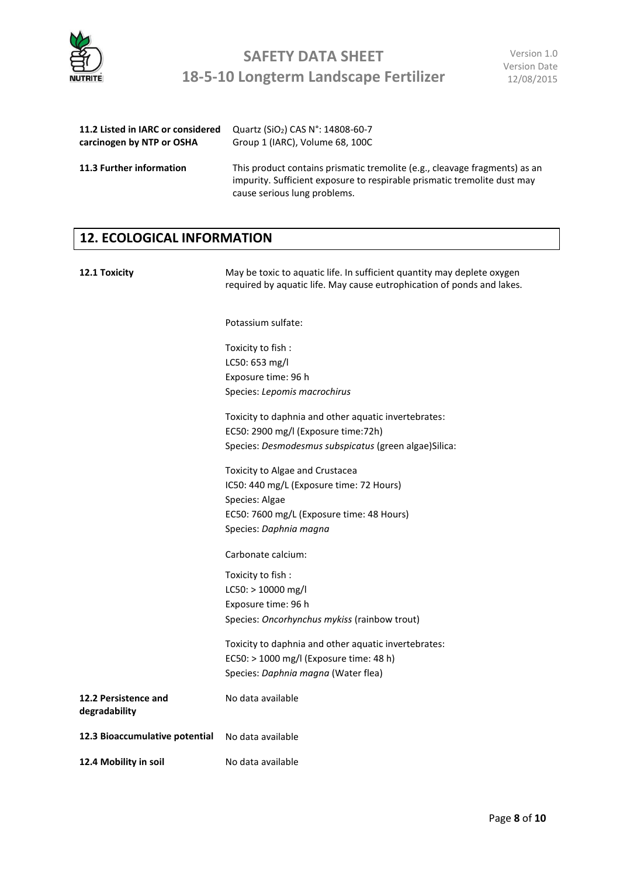

| 11.2 Listed in IARC or considered | Quartz (SiO <sub>2</sub> ) CAS N°: 14808-60-7                                                                                                                                          |
|-----------------------------------|----------------------------------------------------------------------------------------------------------------------------------------------------------------------------------------|
| carcinogen by NTP or OSHA         | Group 1 (IARC), Volume 68, 100C                                                                                                                                                        |
| 11.3 Further information          | This product contains prismatic tremolite (e.g., cleavage fragments) as an<br>impurity. Sufficient exposure to respirable prismatic tremolite dust may<br>cause serious lung problems. |

## **12. ECOLOGICAL INFORMATION**

| 12.1 Toxicity                         | May be toxic to aquatic life. In sufficient quantity may deplete oxygen<br>required by aquatic life. May cause eutrophication of ponds and lakes. |
|---------------------------------------|---------------------------------------------------------------------------------------------------------------------------------------------------|
|                                       | Potassium sulfate:                                                                                                                                |
|                                       | Toxicity to fish :                                                                                                                                |
|                                       | LC50: 653 mg/l                                                                                                                                    |
|                                       | Exposure time: 96 h                                                                                                                               |
|                                       | Species: Lepomis macrochirus                                                                                                                      |
|                                       | Toxicity to daphnia and other aquatic invertebrates:                                                                                              |
|                                       | EC50: 2900 mg/l (Exposure time: 72h)                                                                                                              |
|                                       | Species: Desmodesmus subspicatus (green algae) Silica:                                                                                            |
|                                       | Toxicity to Algae and Crustacea                                                                                                                   |
|                                       | IC50: 440 mg/L (Exposure time: 72 Hours)                                                                                                          |
|                                       | Species: Algae                                                                                                                                    |
|                                       | EC50: 7600 mg/L (Exposure time: 48 Hours)                                                                                                         |
|                                       | Species: Daphnia magna                                                                                                                            |
|                                       | Carbonate calcium:                                                                                                                                |
|                                       | Toxicity to fish :                                                                                                                                |
|                                       | LC50: > 10000 mg/l                                                                                                                                |
|                                       | Exposure time: 96 h                                                                                                                               |
|                                       | Species: Oncorhynchus mykiss (rainbow trout)                                                                                                      |
|                                       | Toxicity to daphnia and other aquatic invertebrates:                                                                                              |
|                                       | EC50: > 1000 mg/l (Exposure time: 48 h)                                                                                                           |
|                                       | Species: Daphnia magna (Water flea)                                                                                                               |
| 12.2 Persistence and<br>degradability | No data available                                                                                                                                 |
| 12.3 Bioaccumulative potential        | No data available                                                                                                                                 |
| 12.4 Mobility in soil                 | No data available                                                                                                                                 |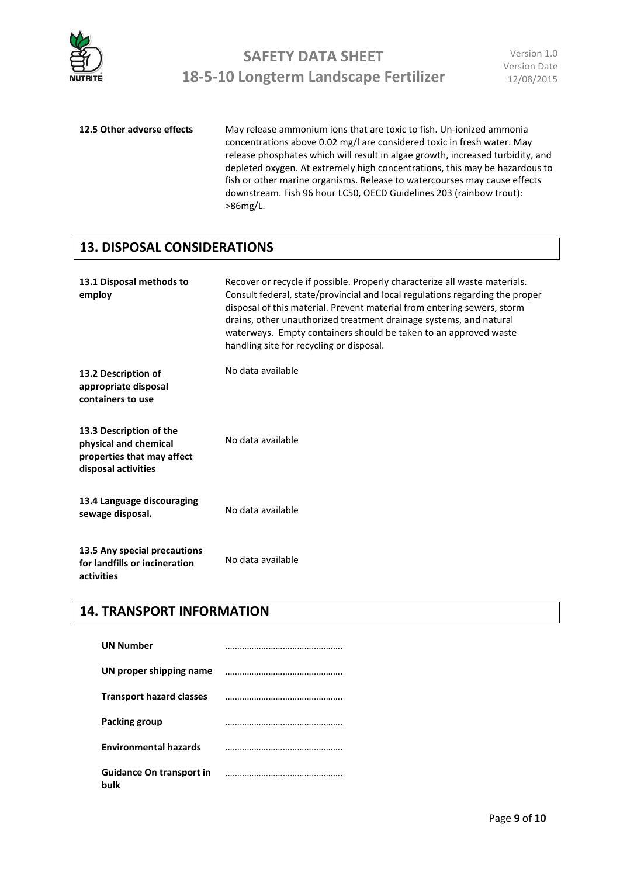

### **12.5 Other adverse effects** May release ammonium ions that are toxic to fish. Un-ionized ammonia concentrations above 0.02 mg/l are considered toxic in fresh water. May release phosphates which will result in algae growth, increased turbidity, and depleted oxygen. At extremely high concentrations, this may be hazardous to fish or other marine organisms. Release to watercourses may cause effects downstream. Fish 96 hour LC50, OECD Guidelines 203 (rainbow trout): >86mg/L.

### **13. DISPOSAL CONSIDERATIONS**

| 13.1 Disposal methods to<br>employ                                                                    | Recover or recycle if possible. Properly characterize all waste materials.<br>Consult federal, state/provincial and local regulations regarding the proper<br>disposal of this material. Prevent material from entering sewers, storm<br>drains, other unauthorized treatment drainage systems, and natural<br>waterways. Empty containers should be taken to an approved waste<br>handling site for recycling or disposal. |
|-------------------------------------------------------------------------------------------------------|-----------------------------------------------------------------------------------------------------------------------------------------------------------------------------------------------------------------------------------------------------------------------------------------------------------------------------------------------------------------------------------------------------------------------------|
| 13.2 Description of<br>appropriate disposal<br>containers to use                                      | No data available                                                                                                                                                                                                                                                                                                                                                                                                           |
| 13.3 Description of the<br>physical and chemical<br>properties that may affect<br>disposal activities | No data available                                                                                                                                                                                                                                                                                                                                                                                                           |
| 13.4 Language discouraging<br>sewage disposal.                                                        | No data available                                                                                                                                                                                                                                                                                                                                                                                                           |
| 13.5 Any special precautions<br>for landfills or incineration<br>activities                           | No data available                                                                                                                                                                                                                                                                                                                                                                                                           |

### **14. TRANSPORT INFORMATION**

| <b>UN Number</b>                        |  |
|-----------------------------------------|--|
| UN proper shipping name                 |  |
| <b>Transport hazard classes</b>         |  |
| <b>Packing group</b>                    |  |
| <b>Environmental hazards</b>            |  |
| <b>Guidance On transport in</b><br>bulk |  |